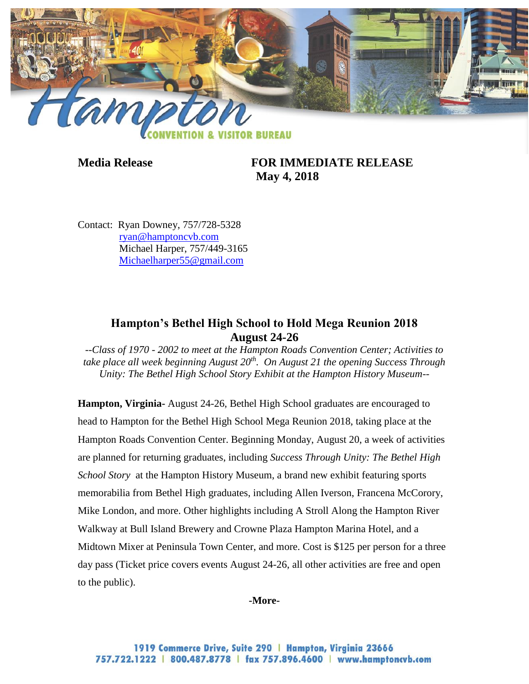

**Media Release FOR IMMEDIATE RELEASE May 4, 2018**

Contact: Ryan Downey, 757/728-5328 [ryan@hamptoncvb.com](mailto:ryan@hamptoncvb.com) Michael Harper, 757/449-3165 [Michaelharper55@gmail.com](mailto:Michaelharper55@gmail.com)

## **Hampton's Bethel High School to Hold Mega Reunion 2018 August 24-26**

*--Class of 1970 - 2002 to meet at the Hampton Roads Convention Center; Activities to take place all week beginning August 20th . On August 21 the opening Success Through Unity: The Bethel High School Story Exhibit at the Hampton History Museum--*

**Hampton, Virginia-** August 24-26, Bethel High School graduates are encouraged to head to Hampton for the Bethel High School Mega Reunion 2018, taking place at the Hampton Roads Convention Center. Beginning Monday, August 20, a week of activities are planned for returning graduates, including *Success Through Unity: The Bethel High School Story* at the Hampton History Museum, a brand new exhibit featuring sports memorabilia from Bethel High graduates, including Allen Iverson, Francena McCorory, Mike London, and more. Other highlights including A Stroll Along the Hampton River Walkway at Bull Island Brewery and Crowne Plaza Hampton Marina Hotel, and a Midtown Mixer at Peninsula Town Center, and more. Cost is \$125 per person for a three day pass (Ticket price covers events August 24-26, all other activities are free and open to the public).

#### **-More-**

1919 Commerce Drive, Suite 290 | Hampton, Virginia 23666 757.722.1222 | 800.487.8778 | fax 757.896.4600 | www.hamptoncvb.com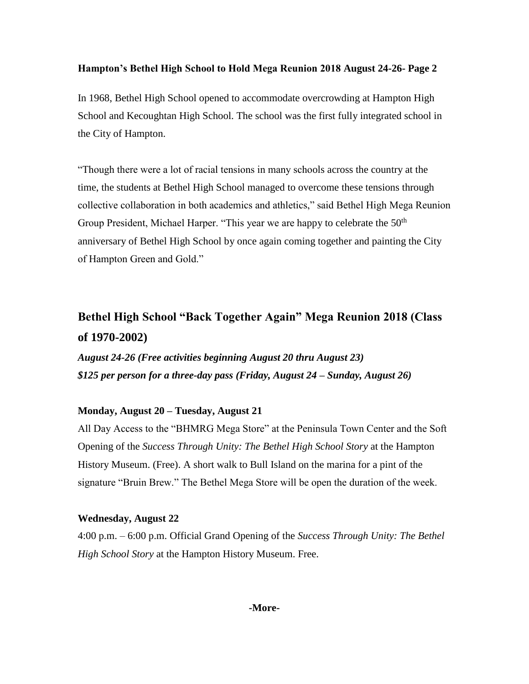In 1968, Bethel High School opened to accommodate overcrowding at Hampton High School and Kecoughtan High School. The school was the first fully integrated school in the City of Hampton.

"Though there were a lot of racial tensions in many schools across the country at the time, the students at Bethel High School managed to overcome these tensions through collective collaboration in both academics and athletics," said Bethel High Mega Reunion Group President, Michael Harper. "This year we are happy to celebrate the  $50<sup>th</sup>$ anniversary of Bethel High School by once again coming together and painting the City of Hampton Green and Gold."

# **Bethel High School "Back Together Again" Mega Reunion 2018 (Class of 1970-2002)**

*August 24-26 (Free activities beginning August 20 thru August 23) \$125 per person for a three-day pass (Friday, August 24 – Sunday, August 26)*

## **Monday, August 20 – Tuesday, August 21**

All Day Access to the "BHMRG Mega Store" at the Peninsula Town Center and the Soft Opening of the *Success Through Unity: The Bethel High School Story* at the Hampton History Museum. (Free). A short walk to Bull Island on the marina for a pint of the signature "Bruin Brew." The Bethel Mega Store will be open the duration of the week.

#### **Wednesday, August 22**

4:00 p.m. – 6:00 p.m. Official Grand Opening of the *Success Through Unity: The Bethel High School Story* at the Hampton History Museum. Free.

#### **-More-**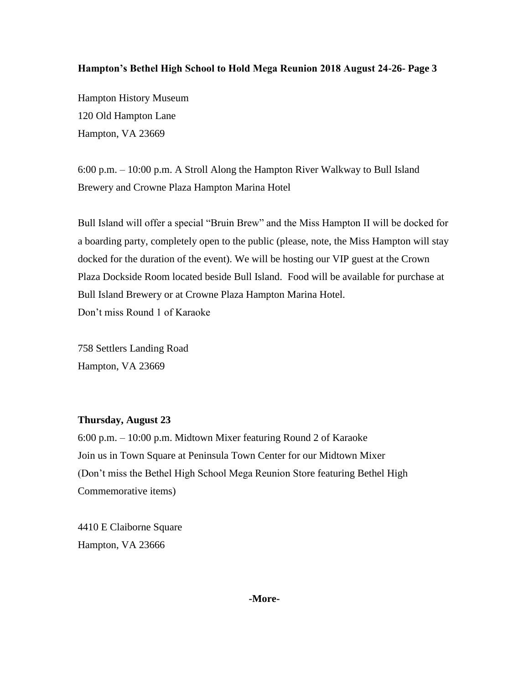Hampton History Museum 120 Old Hampton Lane Hampton, VA 23669

6:00 p.m. – 10:00 p.m. A Stroll Along the Hampton River Walkway to Bull Island Brewery and Crowne Plaza Hampton Marina Hotel

Bull Island will offer a special "Bruin Brew" and the Miss Hampton II will be docked for a boarding party, completely open to the public (please, note, the Miss Hampton will stay docked for the duration of the event). We will be hosting our VIP guest at the Crown Plaza Dockside Room located beside Bull Island. Food will be available for purchase at Bull Island Brewery or at Crowne Plaza Hampton Marina Hotel. Don't miss Round 1 of Karaoke

758 Settlers Landing Road Hampton, VA 23669

## **Thursday, August 23**

6:00 p.m. – 10:00 p.m. Midtown Mixer featuring Round 2 of Karaoke Join us in Town Square at Peninsula Town Center for our Midtown Mixer (Don't miss the Bethel High School Mega Reunion Store featuring Bethel High Commemorative items)

4410 E Claiborne Square Hampton, VA 23666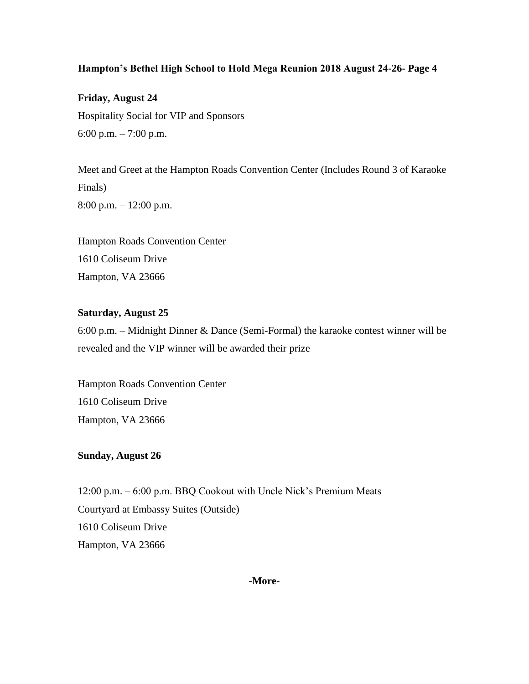**Friday, August 24** Hospitality Social for VIP and Sponsors 6:00 p.m. – 7:00 p.m.

Meet and Greet at the Hampton Roads Convention Center (Includes Round 3 of Karaoke Finals) 8:00 p.m. – 12:00 p.m.

Hampton Roads Convention Center 1610 Coliseum Drive Hampton, VA 23666

## **Saturday, August 25**

6:00 p.m. – Midnight Dinner & Dance (Semi-Formal) the karaoke contest winner will be revealed and the VIP winner will be awarded their prize

Hampton Roads Convention Center 1610 Coliseum Drive Hampton, VA 23666

#### **Sunday, August 26**

12:00 p.m. – 6:00 p.m. BBQ Cookout with Uncle Nick's Premium Meats Courtyard at Embassy Suites (Outside) 1610 Coliseum Drive Hampton, VA 23666

**-More-**